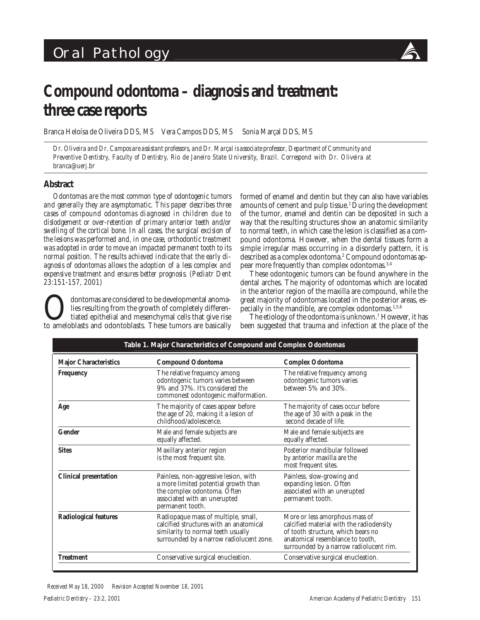# Oral Pathology



# **Compound odontoma – diagnosis and treatment: three case reports**

Branca Heloísa de Oliveira DDS, MS Vera Campos DDS, MS Sonia Marçal DDS, MS

*Dr. Oliveira and Dr. Campos are assistant professors, and Dr. Marçal is associate professor, Department of Community and Preventive Dentistry, Faculty of Dentistry, Rio de Janeiro State University, Brazil. Correspond with Dr. Oliveira at branca@uerj.br*

# **Abstract**

*Odontomas are the most common type of odontogenic tumors and generally they are asymptomatic. This paper describes three cases of compound odontomas diagnosed in children due to dislodgement or over-retention of primary anterior teeth and/or swelling of the cortical bone. In all cases, the surgical excision of the lesions was performed and, in one case, orthodontic treatment was adopted in order to move an impacted permanent tooth to its normal position. The results achieved indicate that the early diagnosis of odontomas allows the adoption of a less complex and expensive treatment and ensures better prognosis. (Pediatr Dent 23:151-157, 2001)*

dontomas are considered to be developmental anomalies resulting from the growth of completely differentiated epithelial and mesenchymal cells that give rise to ameloblasts and odontoblasts. These tumors are basically formed of enamel and dentin but they can also have variables amounts of cement and pulp tissue.<sup>1</sup> During the development of the tumor, enamel and dentin can be deposited in such a way that the resulting structures show an anatomic similarity to normal teeth, in which case the lesion is classified as a compound odontoma. However, when the dental tissues form a simple irregular mass occurring in a disorderly pattern, it is described as a complex odontoma.2 Compound odontomas appear more frequently than complex odontomas.3,4

These odontogenic tumors can be found anywhere in the dental arches. The majority of odontomas which are located in the anterior region of the maxilla are compound, while the great majority of odontomas located in the posterior areas, especially in the mandible, are complex odontomas. $1,5,6$ 

The etiology of the odontoma is unknown.7 However, it has been suggested that trauma and infection at the place of the

| Table 1. Major Characteristics of Compound and Complex Odontomas |                                                                                                                                                                  |                                                                                                                                                                                                 |
|------------------------------------------------------------------|------------------------------------------------------------------------------------------------------------------------------------------------------------------|-------------------------------------------------------------------------------------------------------------------------------------------------------------------------------------------------|
| <b>Major Characteristics</b>                                     | <b>Compound Odontoma</b>                                                                                                                                         | <b>Complex Odontoma</b>                                                                                                                                                                         |
| <b>Frequency</b>                                                 | The relative frequency among<br>odontogenic tumors varies between<br>9% and 37%. It's considered the<br>commonest odontogenic malformation.                      | The relative frequency among<br>odontogenic tumors varies<br>between 5% and 30%.                                                                                                                |
| Age                                                              | The majority of cases appear before<br>the age of 20, making it a lesion of<br>childhood/adolescence.                                                            | The majority of cases occur before<br>the age of 30 with a peak in the<br>second decade of life.                                                                                                |
| Gender                                                           | Male and female subjects are<br>equally affected.                                                                                                                | Male and female subjects are<br>equally affected.                                                                                                                                               |
| <b>Sites</b>                                                     | Maxillary anterior region<br>is the most frequent site.                                                                                                          | Posterior mandibular followed<br>by anterior maxilla are the<br>most frequent sites.                                                                                                            |
| <b>Clinical presentation</b>                                     | Painless, non-aggressive lesion, with<br>a more limited potential growth than<br>the complex odontoma. Often<br>associated with an unerupted<br>permanent tooth. | Painless, slow-growing and<br>expanding lesion. Often<br>associated with an unerupted<br>permanent tooth.                                                                                       |
| <b>Radiological features</b>                                     | Radiopaque mass of multiple, small,<br>calcified structures with an anatomical<br>similarity to normal teeth usually<br>surrounded by a narrow radiolucent zone. | More or less amorphous mass of<br>calcified material with the radiodensity<br>of tooth structure, which bears no<br>anatomical resemblance to tooth,<br>surrounded by a narrow radiolucent rim. |
| <b>Treatment</b>                                                 | Conservative surgical enucleation.                                                                                                                               | Conservative surgical enucleation.                                                                                                                                                              |
|                                                                  |                                                                                                                                                                  |                                                                                                                                                                                                 |

*Received May 18, 2000 Revision Accepted November 18, 2001*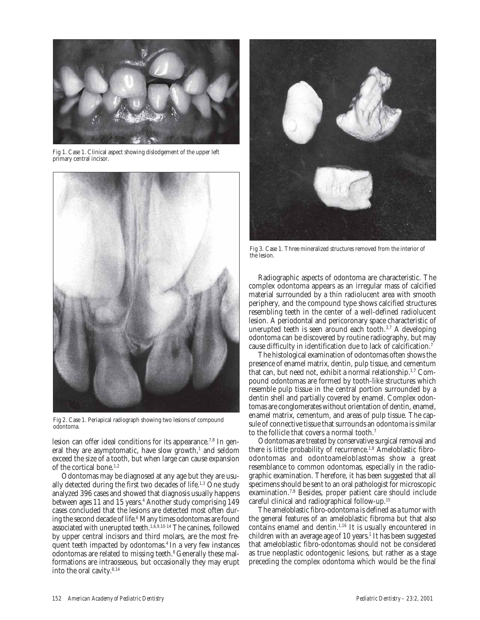

Fig 1. Case 1. Clinical aspect showing dislodgement of the upper left primary central incisor.



Fig 2. Case 1. Periapical radiograph showing two lesions of compound odontoma.

lesion can offer ideal conditions for its appearance.<sup>7,8</sup> In general they are asymptomatic, have slow growth,<sup>1</sup> and seldom exceed the size of a tooth, but when large can cause expansion of the cortical bone.<sup>1,2</sup>

Odontomas may be diagnosed at any age but they are usually detected during the first two decades of life.<sup>1,3</sup> One study analyzed 396 cases and showed that diagnosis usually happens between ages 11 and 15 years.<sup>4</sup> Another study comprising 149 cases concluded that the lesions are detected most often during the second decade of life. $^6$  Many times odontomas are found associated with unerupted teeth.<sup>1,6,9,10-14</sup> The canines, followed by upper central incisors and third molars, are the most frequent teeth impacted by odontomas.4 In a very few instances odontomas are related to missing teeth.<sup>8</sup> Generally these malformations are intraosseous, but occasionally they may erupt into the oral cavity.8,14



Fig 3. Case 1. Three mineralized structures removed from the interior of the lesion.

Radiographic aspects of odontoma are characteristic. The complex odontoma appears as an irregular mass of calcified material surrounded by a thin radiolucent area with smooth periphery, and the compound type shows calcified structures resembling teeth in the center of a well-defined radiolucent lesion. A periodontal and pericoronary space characteristic of unerupted teeth is seen around each tooth.3,7 A developing odontoma can be discovered by routine radiography, but may cause difficulty in identification due to lack of calcification.7

The histological examination of odontomas often shows the presence of enamel matrix, dentin, pulp tissue, and cementum that can, but need not, exhibit a normal relationship.1,7 Compound odontomas are formed by tooth-like structures which resemble pulp tissue in the central portion surrounded by a dentin shell and partially covered by enamel. Complex odontomas are conglomerates without orientation of dentin, enamel, enamel matrix, cementum, and areas of pulp tissue. The capsule of connective tissue that surrounds an odontoma is similar to the follicle that covers a normal tooth.7

Odontomas are treated by conservative surgical removal and there is little probability of recurrence.1,8 Ameloblastic fibroodontomas and odontoameloblastomas show a great resemblance to common odontomas, especially in the radiographic examination. Therefore, it has been suggested that all specimens should be sent to an oral pathologist for microscopic examination.7,8 Besides, proper patient care should include careful clinical and radiographical follow-up.15

The ameloblastic fibro-odontoma is defined as a tumor with the general features of an ameloblastic fibroma but that also contains enamel and dentin.1,16 It is usually encountered in children with an average age of 10 years.<sup>1</sup> It has been suggested that ameloblastic fibro-odontomas should not be considered as true neoplastic odontogenic lesions, but rather as a stage preceding the complex odontoma which would be the final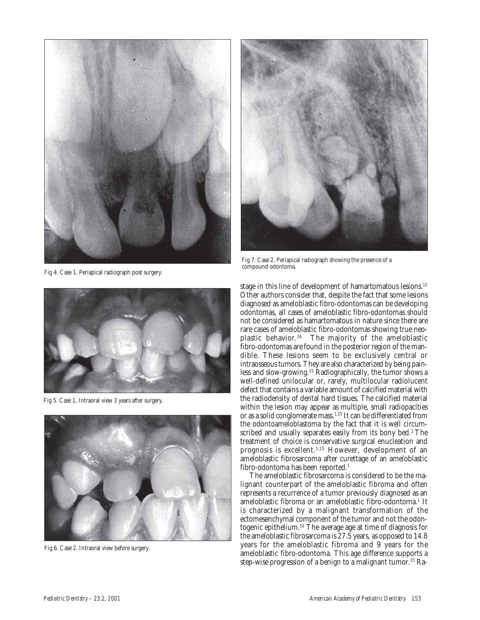

Fig 4. Case 1. Periapical radiograph post surgery.



Fig 7. Case 2. Periapical radiograph showing the presence of a compound odontoma.



Fig 5. Case 1. Intraoral view 3 years after surgery.



Fig 6. Case 2. Intraoral view before surgery.

stage in this line of development of hamartomatous lesions.<sup>15</sup> Other authors consider that, despite the fact that some lesions diagnosed as ameloblastic fibro-odontomas can be developing odontomas, all cases of ameloblastic fibro-odontomas should not be considered as hamartomatous in nature since there are rare cases of ameloblastic fibro-odontomas showing true neoplastic behavior.16 The majority of the ameloblastic fibro-odontomas are found in the posterior region of the mandible. These lesions seem to be exclusively central or intraosseous tumors. They are also characterized by being painless and slow-growing.15 Radiographically, the tumor shows a well-defined unilocular or, rarely, multilocular radiolucent defect that contains a variable amount of calcified material with the radiodensity of dental hard tissues. The calcified material within the lesion may appear as multiple, small radiopacities or as a solid conglomerate mass.1,15 It can be differentiated from the odontoameloblastoma by the fact that it is well circumscribed and usually separates easily from its bony bed.<sup>2</sup> The treatment of choice is conservative surgical enucleation and prognosis is excellent.1,15 However, development of an ameloblastic fibrosarcoma after curettage of an ameloblastic fibro-odontoma has been reported.<sup>1</sup>

The ameloblastic fibrosarcoma is considered to be the malignant counterpart of the ameloblastic fibroma and often represents a recurrence of a tumor previously diagnosed as an ameloblastic fibroma or an ameloblastic fibro-odontoma.<sup>1</sup> It is characterized by a malignant transformation of the ectomesenchymal component of the tumor and not the odontogenic epithelium.16 The average age at time of diagnosis for the ameloblastic fibrosarcoma is 27.5 years, as opposed to 14.8 years for the ameloblastic fibroma and 9 years for the ameloblastic fibro-odontoma. This age difference supports a step-wise progression of a benign to a malignant tumor.<sup>15</sup> Ra-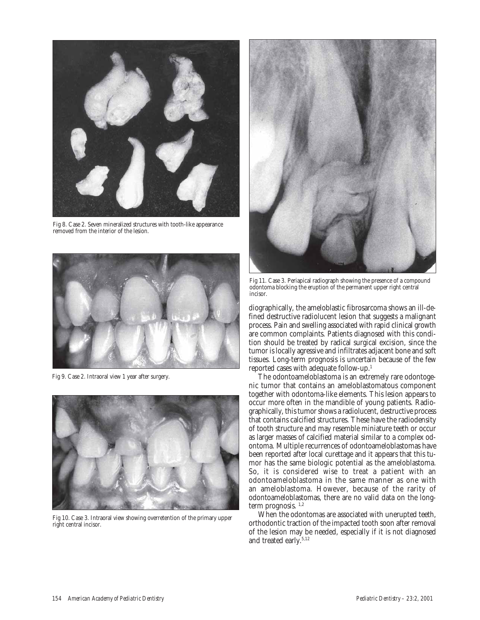

Fig 8. Case 2. Seven mineralized structures with tooth-like appearance removed from the interior of the lesion.



Fig 9. Case 2. Intraoral view 1 year after surgery.



Fig 10. Case 3. Intraoral view showing overretention of the primary upper right central incisor.



Fig 11. Case 3. Periapical radiograph showing the presence of a compound odontoma blocking the eruption of the permanent upper right central incisor.

diographically, the ameloblastic fibrosarcoma shows an ill-defined destructive radiolucent lesion that suggests a malignant process. Pain and swelling associated with rapid clinical growth are common complaints. Patients diagnosed with this condition should be treated by radical surgical excision, since the tumor is locally agressive and infiltrates adjacent bone and soft tissues. Long-term prognosis is uncertain because of the few reported cases with adequate follow-up.1

The odontoameloblastoma is an extremely rare odontogenic tumor that contains an ameloblastomatous component together with odontoma-like elements. This lesion appears to occur more often in the mandible of young patients. Radiographically, this tumor shows a radiolucent, destructive process that contains calcified structures. These have the radiodensity of tooth structure and may resemble miniature teeth or occur as larger masses of calcified material similar to a complex odontoma. Multiple recurrences of odontoameloblastomas have been reported after local curettage and it appears that this tumor has the same biologic potential as the ameloblastoma. So, it is considered wise to treat a patient with an odontoameloblastoma in the same manner as one with an ameloblastoma. However, because of the rarity of odontoameloblastomas, there are no valid data on the longterm prognosis.  $1,2$ 

When the odontomas are associated with unerupted teeth, orthodontic traction of the impacted tooth soon after removal of the lesion may be needed, especially if it is not diagnosed and treated early.5,12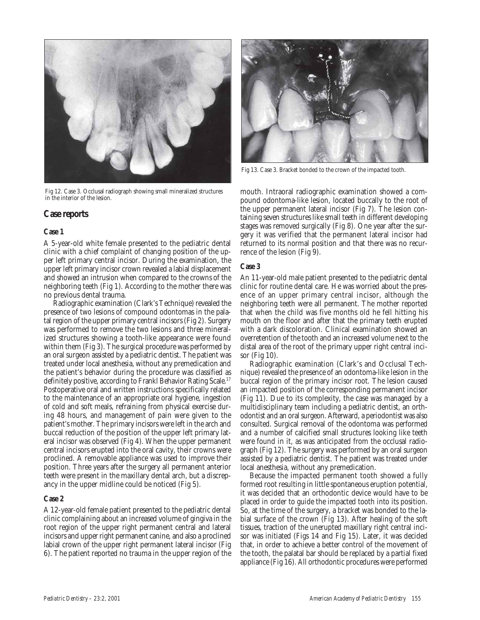

Fig 12. Case 3. Occlusal radiograph showing small mineralized structures in the interior of the lesion.

## **Case reports**

#### **Case 1**

A 5-year-old white female presented to the pediatric dental clinic with a chief complaint of changing position of the upper left primary central incisor. During the examination, the upper left primary incisor crown revealed a labial displacement and showed an intrusion when compared to the crowns of the neighboring teeth (Fig 1). According to the mother there was no previous dental trauma.

Radiographic examination (Clark's Technique) revealed the presence of two lesions of compound odontomas in the palatal region of the upper primary central incisors (Fig 2). Surgery was performed to remove the two lesions and three mineralized structures showing a tooth-like appearance were found within them (Fig 3). The surgical procedure was performed by an oral surgeon assisted by a pediatric dentist. The patient was treated under local anesthesia, without any premedication and the patient's behavior during the procedure was classified as definitely positive, according to Frankl Behavior Rating Scale.<sup>17</sup> Postoperative oral and written instructions specifically related to the maintenance of an appropriate oral hygiene, ingestion of cold and soft meals, refraining from physical exercise during 48 hours, and management of pain were given to the patient's mother. The primary incisors were left in the arch and buccal reduction of the position of the upper left primary lateral incisor was observed (Fig 4). When the upper permanent central incisors erupted into the oral cavity, their crowns were proclined. A removable appliance was used to improve their position. Three years after the surgery all permanent anterior teeth were present in the maxillary dental arch, but a discrepancy in the upper midline could be noticed (Fig 5).

#### **Case 2**

A 12-year-old female patient presented to the pediatric dental clinic complaining about an increased volume of gingiva in the root region of the upper right permanent central and lateral incisors and upper right permanent canine, and also a proclined labial crown of the upper right permanent lateral incisor (Fig 6). The patient reported no trauma in the upper region of the



Fig 13. Case 3. Bracket bonded to the crown of the impacted tooth.

mouth. Intraoral radiographic examination showed a compound odontoma-like lesion, located buccally to the root of the upper permanent lateral incisor (Fig 7). The lesion containing seven structures like small teeth in different developing stages was removed surgically (Fig 8). One year after the surgery it was verified that the permanent lateral incisor had returned to its normal position and that there was no recurrence of the lesion (Fig 9).

#### **Case 3**

An 11-year-old male patient presented to the pediatric dental clinic for routine dental care. He was worried about the presence of an upper primary central incisor, although the neighboring teeth were all permanent. The mother reported that when the child was five months old he fell hitting his mouth on the floor and after that the primary teeth erupted with a dark discoloration. Clinical examination showed an overretention of the tooth and an increased volume next to the distal area of the root of the primary upper right central incisor (Fig 10).

Radiographic examination (Clark's and Occlusal Technique) revealed the presence of an odontoma-like lesion in the buccal region of the primary incisor root. The lesion caused an impacted position of the corresponding permanent incisor (Fig 11). Due to its complexity, the case was managed by a multidisciplinary team including a pediatric dentist, an orthodontist and an oral surgeon. Afterward, a periodontist was also consulted. Surgical removal of the odontoma was performed and a number of calcified small structures looking like teeth were found in it, as was anticipated from the occlusal radiograph (Fig 12). The surgery was performed by an oral surgeon assisted by a pediatric dentist. The patient was treated under local anesthesia, without any premedication.

Because the impacted permanent tooth showed a fully formed root resulting in little spontaneous eruption potential, it was decided that an orthodontic device would have to be placed in order to guide the impacted tooth into its position. So, at the time of the surgery, a bracket was bonded to the labial surface of the crown (Fig 13). After healing of the soft tissues, traction of the unerupted maxillary right central incisor was initiated (Figs 14 and Fig 15). Later, it was decided that, in order to achieve a better control of the movement of the tooth, the palatal bar should be replaced by a partial fixed appliance (Fig 16). All orthodontic procedures were performed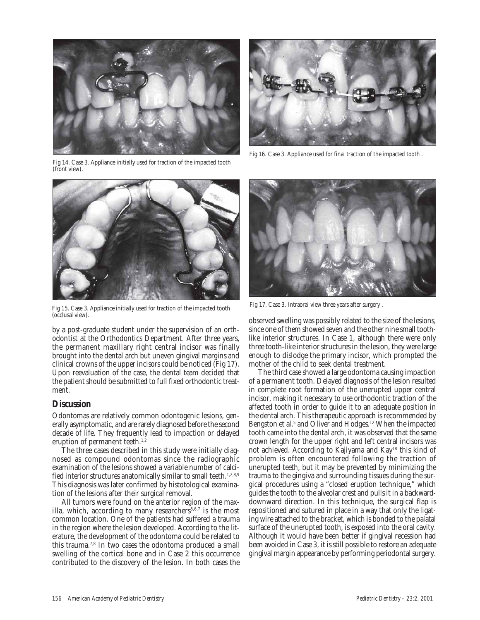

Fig 14. Case 3. Appliance initially used for traction of the impacted tooth (front view).



Fig 15. Case 3. Appliance initially used for traction of the impacted tooth (occlusal view).

by a post-graduate student under the supervision of an orthodontist at the Orthodontics Department. After three years, the permanent maxillary right central incisor was finally brought into the dental arch but uneven gingival margins and clinical crowns of the upper incisors could be noticed (Fig 17). Upon reevaluation of the case, the dental team decided that the patient should be submitted to full fixed orthodontic treatment.

## **Discussion**

Odontomas are relatively common odontogenic lesions, generally asymptomatic, and are rarely diagnosed before the second decade of life. They frequently lead to impaction or delayed eruption of permanent teeth. $1,2$ 

The three cases described in this study were initially diagnosed as compound odontomas since the radiographic examination of the lesions showed a variable number of calcified interior structures anatomically similar to small teeth.<sup>1,2,8,9</sup> This diagnosis was later confirmed by histotological examination of the lesions after their surgical removal.

All tumors were found on the anterior region of the maxilla, which, according to many researchers<sup>5,6,7</sup> is the most common location. One of the patients had suffered a trauma in the region where the lesion developed. According to the literature, the development of the odontoma could be related to this trauma.7,8 In two cases the odontoma produced a small swelling of the cortical bone and in Case 2 this occurrence contributed to the discovery of the lesion. In both cases the



Fig 16. Case 3. Appliance used for final traction of the impacted tooth .



Fig 17. Case 3. Intraoral view three years after surgery .

observed swelling was possibly related to the size of the lesions, since one of them showed seven and the other nine small toothlike interior structures. In Case 1, although there were only three tooth-like interior structures in the lesion, they were large enough to dislodge the primary incisor, which prompted the mother of the child to seek dental treatment.

The third case showed a large odontoma causing impaction of a permanent tooth. Delayed diagnosis of the lesion resulted in complete root formation of the unerupted upper central incisor, making it necessary to use orthodontic traction of the affected tooth in order to guide it to an adequate position in the dental arch. This therapeutic approach is recommended by Bengston et al.<sup>5</sup> and Oliver and Hodges.<sup>12</sup> When the impacted tooth came into the dental arch, it was observed that the same crown length for the upper right and left central incisors was not achieved. According to Kajiyama and Kay18 this kind of problem is often encountered following the traction of unerupted teeth, but it may be prevented by minimizing the trauma to the gingiva and surrounding tissues during the surgical procedures using a "closed eruption technique," which guides the tooth to the alveolar crest and pulls it in a backwarddownward direction. In this technique, the surgical flap is repositioned and sutured in place in a way that only the ligating wire attached to the bracket, which is bonded to the palatal surface of the unerupted tooth, is exposed into the oral cavity. Although it would have been better if gingival recession had been avoided in Case 3, it is still possible to restore an adequate gingival margin appearance by performing periodontal surgery.